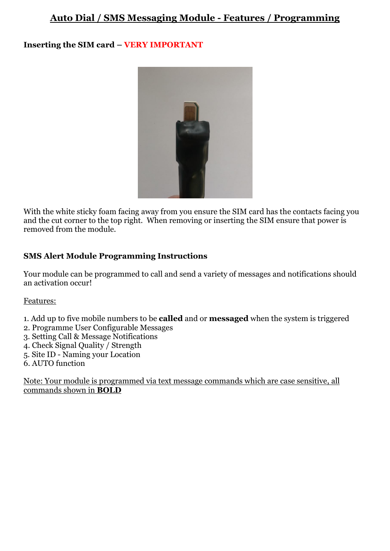# **Auto Dial / SMS Messaging Module - Features / Programming**

### **Inserting the SIM card – VERY IMPORTANT**



With the white sticky foam facing away from you ensure the SIM card has the contacts facing you and the cut corner to the top right. When removing or inserting the SIM ensure that power is removed from the module.

#### **SMS Alert Module Programming Instructions**

Your module can be programmed to call and send a variety of messages and notifications should an activation occur!

#### Features:

- 1. Add up to five mobile numbers to be **called** and or **messaged** when the system is triggered
- 2. Programme User Configurable Messages
- 3. Setting Call & Message Notifications
- 4. Check Signal Quality / Strength
- 5. Site ID Naming your Location
- 6. AUTO function

Note: Your module is programmed via text message commands which are case sensitive, all commands shown in **BOLD**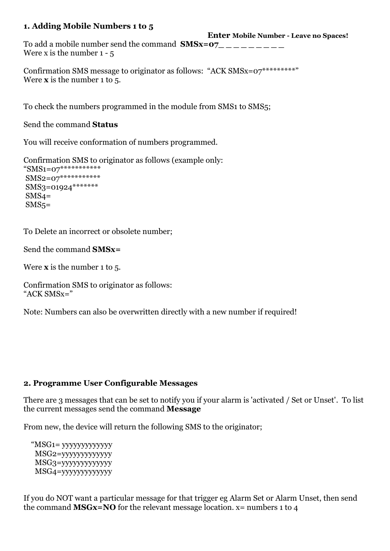#### **1. Adding Mobile Numbers 1 to 5**

**Enter Mobile Number - Leave no Spaces!**

To add a mobile number send the command  $\text{SMSx=07}$  \_\_\_\_\_\_\_\_ Were x is the number  $1 - 5$ 

Confirmation SMS message to originator as follows: "ACK SMSx=07\*\*\*\*\*\*\*\*\*" Were **x** is the number 1 to 5.

To check the numbers programmed in the module from SMS1 to SMS5;

Send the command **Status** 

You will receive conformation of numbers programmed.

Confirmation SMS to originator as follows (example only: "SMS1=07\*\*\*\*\*\*\*\*\*\*\*  $\text{SMS2}=0.7*************$ 

SMS3=01924\*\*\*\*\*\*\*  $SMS4=$  $SMS<sub>5</sub>$ =

To Delete an incorrect or obsolete number;

Send the command **SMSx=** 

Were **x** is the number 1 to 5.

Confirmation SMS to originator as follows: " $ACK$  SMS $x=$ "

Note: Numbers can also be overwritten directly with a new number if required!

## **2. Programme User Configurable Messages**

There are 3 messages that can be set to notify you if your alarm is 'activated / Set or Unset'. To list the current messages send the command **Message**

From new, the device will return the following SMS to the originator;

 "MSG1= yyyyyyyyyyyyy MSG2=yyyyyyyyyyyyy MSG3=yyyyyyyyyyyyy MSG4=yyyyyyyyyyyyy

If you do NOT want a particular message for that trigger eg Alarm Set or Alarm Unset, then send the command **MSGx=NO** for the relevant message location. x= numbers 1 to 4